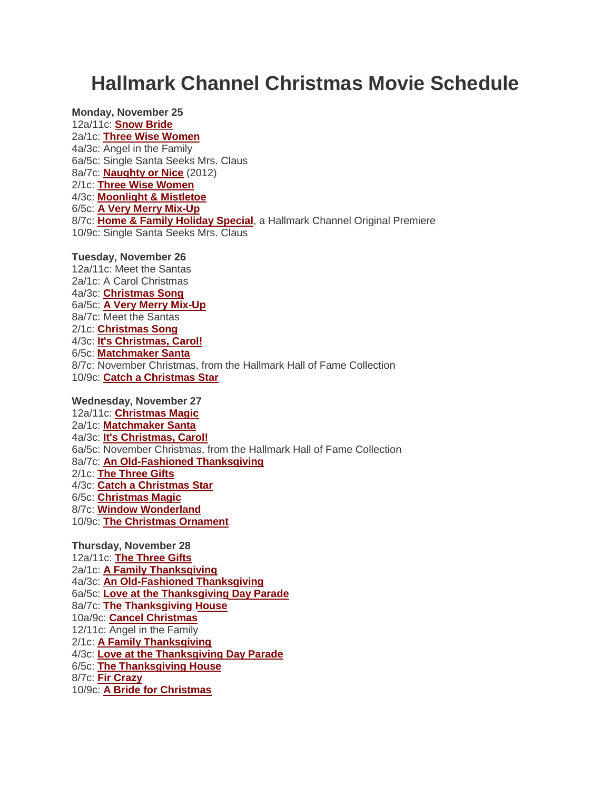# **Hallmark Channel Christmas Movie Schedule**

**Monday, November 25** 12a/11c: **[Snow Bride](http://www.hallmarkchannel.com/snowbride)** 2a/1c: **[Three Wise Women](http://www.hallmarkchannel.com/threewisewomen/home)** 4a/3c: Angel in the Family 6a/5c: Single Santa Seeks Mrs. Claus 8a/7c: **[Naughty or Nice](http://www.hallmarkchannel.com/naughtyornice)** (2012) 2/1c: **[Three Wise Women](http://www.hallmarkchannel.com/threewisewomen/home)** 4/3c: **[Moonlight & Mistletoe](http://www.hallmarkchannel.com/Programm/Default_Microsite.aspx?Simscode=419-25588&ID=0)** 6/5c: **[A Very Merry Mix-Up](http://www.hallmarkchannel.com/averymerrymixup)** 8/7c: **[Home & Family Holiday Special](http://www.hallmarkchannel.com/homeandfamily)**, a Hallmark Channel Original Premiere 10/9c: Single Santa Seeks Mrs. Claus

**Tuesday, November 26**

12a/11c: Meet the Santas 2a/1c: A Carol Christmas 4a/3c: **[Christmas Song](http://www.hallmarkchannel.com/christmassong)** 6a/5c: **[A Very Merry Mix-Up](http://www.hallmarkchannel.com/averymerrymixup)** 8a/7c: Meet the Santas 2/1c: **[Christmas Song](http://www.hallmarkchannel.com/christmassong)** 4/3c: **[It's Christmas, Carol!](http://www.hallmarkchannel.com/itschristmascarol)** 6/5c: **[Matchmaker Santa](http://www.hallmarkchannel.com/matchmakersanta)** 8/7c: November Christmas, from the Hallmark Hall of Fame Collection 10/9c: **[Catch a Christmas Star](http://www.hallmarkchannel.com/catchachristmasstar)**

**Wednesday, November 27**

12a/11c: **[Christmas Magic](http://www.hallmarkchannel.com/christmasmagic)** 2a/1c: **[Matchmaker Santa](http://www.hallmarkchannel.com/matchmakersanta)** 4a/3c: **[It's Christmas, Carol!](http://www.hallmarkchannel.com/itschristmascarol)** 6a/5c: November Christmas, from the Hallmark Hall of Fame Collection 8a/7c: **[An Old-Fashioned Thanksgiving](http://www.hallmarkchannel.com/Programm/Default_Microsite.aspx?Simscode=419-25591&ID=0)** 2/1c: **[The Three Gifts](http://www.hallmarkchannel.com/Programm/Default_Microsite.aspx?Simscode=419-26635&ID=0)** 4/3c: **[Catch a Christmas Star](http://www.hallmarkchannel.com/catchachristmasstar)** 6/5c: **[Christmas Magic](http://www.hallmarkchannel.com/christmasmagic)** 8/7c: **[Window Wonderland](http://www.hallmarkchannel.com/windowwonderland)** 10/9c: **[The Christmas Ornament](http://www.hallmarkchannel.com/thechristmasornament)**

**Thursday, November 28** 12a/11c: **[The Three Gifts](http://www.hallmarkchannel.com/Programm/Default_Microsite.aspx?Simscode=419-26635&ID=0)** 2a/1c: **[A Family Thanksgiving](http://www.hallmarkchannel.com/afamilythanksgiving/home)** 4a/3c: **[An Old-Fashioned Thanksgiving](http://www.hallmarkchannel.com/Programm/Default_Microsite.aspx?Simscode=419-25591&ID=0)** 6a/5c: **[Love at the Thanksgiving Day Parade](http://www.hallmarkchannel.com/loveatthethanksgivingdayparade)** 8a/7c: **[The Thanksgiving House](http://www.hallmarkchannel.com/thethanksgivinghouse)** 10a/9c: **[Cancel Christmas](http://www.hallmarkchannel.com/cancelchristmas)** 12/11c: Angel in the Family 2/1c: **[A Family Thanksgiving](http://www.hallmarkchannel.com/afamilythanksgiving/home)** 4/3c: **[Love at the Thanksgiving Day Parade](http://www.hallmarkchannel.com/loveatthethanksgivingdayparade)** 6/5c: **[The Thanksgiving House](http://www.hallmarkchannel.com/thethanksgivinghouse)** 8/7c: **[Fir Crazy](http://www.hallmarkchannel.com/fircrazy)** 10/9c: **[A Bride for Christmas](http://www.hallmarkchannel.com/abrideforchristmas)**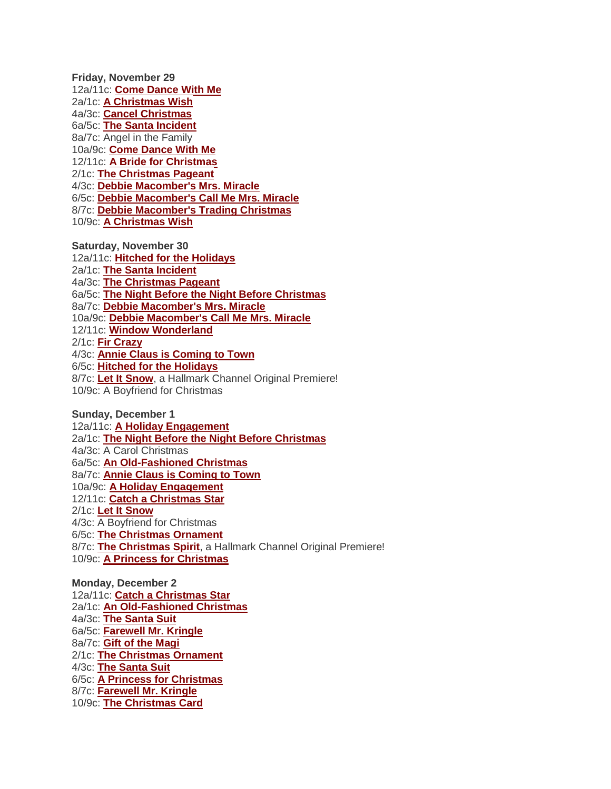**Friday, November 29** 12a/11c: **[Come Dance With Me](http://www.hallmarkchannel.com/comedancewithme)** 2a/1c: **[A Christmas Wish](http://www.hallmarkchannel.com/achristmaswish)** 4a/3c: **[Cancel Christmas](http://www.hallmarkchannel.com/cancelchristmas)** 6a/5c: **[The Santa Incident](http://www.hallmarkchannel.com/thesantaincident/home)** 8a/7c: Angel in the Family 10a/9c: **[Come Dance With Me](http://www.hallmarkchannel.com/comedancewithme)** 12/11c: **[A Bride for Christmas](http://www.hallmarkchannel.com/abrideforchristmas)** 2/1c: **[The Christmas Pageant](http://www.hallmarkchannel.com/thechristmaspageant)** 4/3c: **[Debbie Macomber's Mrs. Miracle](http://www.hallmarkchannel.com/Programm/Default_Microsite.aspx?Simscode=419-26619&ID=0)** 6/5c: **[Debbie Macomber's Call Me Mrs. Miracle](http://www.hallmarkchannel.com/debbiemacomberscallmemrsmiracle/home)** 8/7c: **[Debbie Macomber's Trading Christmas](http://www.hallmarkchannel.com/debbiemacomberstradingchristmas)** 10/9c: **[A Christmas Wish](http://www.hallmarkchannel.com/achristmaswish)**

**Saturday, November 30** 12a/11c: **[Hitched for the Holidays](http://www.hallmarkchannel.com/hitchedfortheholidays)** 2a/1c: **[The Santa Incident](http://www.hallmarkchannel.com/thesantaincident/home)** 4a/3c: **[The Christmas Pageant](http://www.hallmarkchannel.com/thechristmaspageant)** 6a/5c: **[The Night Before the Night Before Christmas](http://www.hallmarkchannel.com/thenightbeforethenightbeforechristmas/home)** 8a/7c: **[Debbie Macomber's Mrs. Miracle](http://www.hallmarkchannel.com/Programm/Default_Microsite.aspx?Simscode=419-26619&ID=0)** 10a/9c: **[Debbie Macomber's Call Me Mrs. Miracle](http://www.hallmarkchannel.com/debbiemacomberscallmemrsmiracle/home)** 12/11c: **[Window Wonderland](http://www.hallmarkchannel.com/windowwonderland)** 2/1c: **[Fir Crazy](http://www.hallmarkchannel.com/fircrazy)** 4/3c: **[Annie Claus is Coming to Town](http://www.hallmarkchannel.com/annieclausiscomingtotown)** 6/5c: **[Hitched for the Holidays](http://www.hallmarkchannel.com/hitchedfortheholidays)** 8/7c: **[Let It Snow](http://www.hallmarkchannel.com/letitsnow)**, a Hallmark Channel Original Premiere! 10/9c: A Boyfriend for Christmas

**Sunday, December 1** 12a/11c: **[A Holiday Engagement](http://www.hallmarkchannel.com/holidayengagement)** 2a/1c: **[The Night Before the Night Before Christmas](http://www.hallmarkchannel.com/thenightbeforethenightbeforechristmas/home)** 4a/3c: A Carol Christmas 6a/5c: **[An Old-Fashioned Christmas](http://www.hallmarkchannel.com/anoldfashionedchristmas/home)** 8a/7c: **[Annie Claus is Coming to Town](http://www.hallmarkchannel.com/annieclausiscomingtotown)** 10a/9c: **[A Holiday Engagement](http://www.hallmarkchannel.com/holidayengagement)** 12/11c: **[Catch a Christmas Star](http://www.hallmarkchannel.com/catchachristmasstar)** 2/1c: **[Let It Snow](http://www.hallmarkchannel.com/letitsnow)** 4/3c: A Boyfriend for Christmas 6/5c: **[The Christmas Ornament](http://www.hallmarkchannel.com/thechristmasornament)** 8/7c: **[The Christmas Spirit](http://www.hallmarkchannel.com/thechristmasspirit)**, a Hallmark Channel Original Premiere! 10/9c: **A Princess [for Christmas](http://www.hallmarkchannel.com/aprincessforchristmas)**

**Monday, December 2** 12a/11c: **[Catch a Christmas Star](http://www.hallmarkchannel.com/catchachristmasstar)** 2a/1c: **[An Old-Fashioned Christmas](http://www.hallmarkchannel.com/anoldfashionedchristmas/home)** 4a/3c: **[The Santa Suit](http://www.hallmarkchannel.com/thesantasuit/home)** 6a/5c: **[Farewell Mr. Kringle](http://www.hallmarkchannel.com/farewellmrkringle/home)** 8a/7c: **[Gift of the Magi](http://www.hallmarkchannel.com/giftofthemagi/home)** 2/1c: **[The Christmas Ornament](http://www.hallmarkchannel.com/thechristmasornament)** 4/3c: **[The Santa Suit](http://www.hallmarkchannel.com/thesantasuit/home)** 6/5c: **[A Princess for Christmas](http://www.hallmarkchannel.com/aprincessforchristmas)** 8/7c: **[Farewell Mr. Kringle](http://www.hallmarkchannel.com/farewellmrkringle/home)** 10/9c: **[The Christmas Card](http://www.hallmarkchannel.com/Programm/Default_Microsite.aspx?Simscode=419-23524&ID=0)**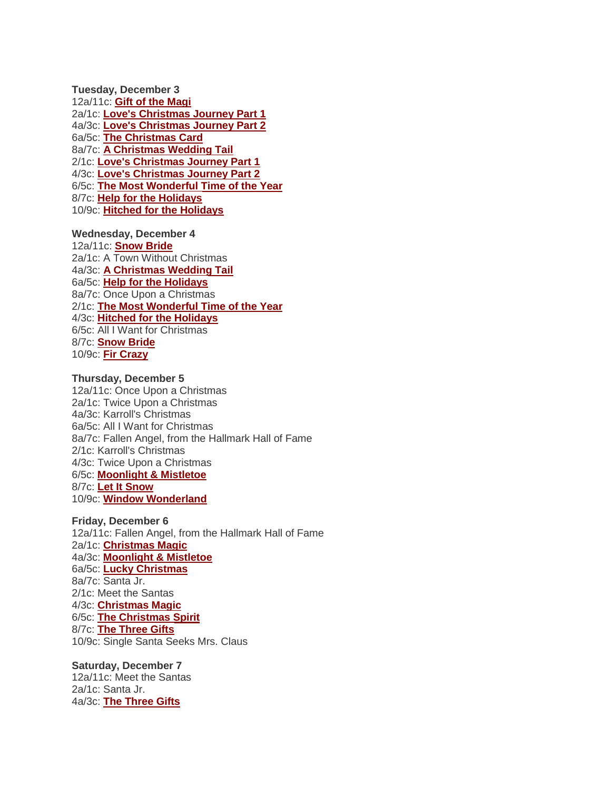**Tuesday, December 3** 12a/11c: **[Gift of the Magi](http://www.hallmarkchannel.com/giftofthemagi/home)** 2a/1c: **[Love's Christmas Journey Part 1](http://www.hallmarkchannel.com/loveschristmasjourney)** 4a/3c: **[Love's Christmas Journey Part 2](http://www.hallmarkchannel.com/loveschristmasjourney)** 6a/5c: **[The Christmas Card](http://www.hallmarkchannel.com/thechristmascard)** 8a/7c: **[A Christmas Wedding Tail](http://www.hallmarkchannel.com/achristmasweddingtail)** 2/1c: **[Love's Christmas Journey Part 1](http://www.hallmarkchannel.com/loveschristmasjourney)** 4/3c: **[Love's Christmas Journey Part 2](http://www.hallmarkchannel.com/loveschristmasjourney)** 6/5c: **[The Most Wonderful Time of the Year](http://www.hallmarkchannel.com/Programm/Default_Microsite.aspx?Simscode=419-26463&ID=299398)** 8/7c: **[Help for the Holidays](http://www.hallmarkchannel.com/helpfortheholidays)** 10/9c: **[Hitched for the Holidays](http://www.hallmarkchannel.com/hitchedfortheholidays)**

### **Wednesday, December 4**

12a/11c: **[Snow Bride](http://www.hallmarkchannel.com/snowbride)** 2a/1c: A Town Without Christmas 4a/3c: **[A Christmas Wedding Tail](http://www.hallmarkchannel.com/achristmasweddingtail)** 6a/5c: **[Help for the Holidays](http://www.hallmarkchannel.com/helpfortheholidays)** 8a/7c: Once Upon a Christmas 2/1c: **[The Most Wonderful Time of the Year](http://www.hallmarkchannel.com/Programm/Default_Microsite.aspx?Simscode=419-26463&ID=299398)** 4/3c: **[Hitched for the Holidays](http://www.hallmarkchannel.com/hitchedfortheholidays)** 6/5c: All I Want for Christmas 8/7c: **[Snow Bride](http://www.hallmarkchannel.com/snowbride)** 10/9c: **[Fir Crazy](http://www.hallmarkchannel.com/fircrazy)**

#### **Thursday, December 5**

12a/11c: Once Upon a Christmas 2a/1c: Twice Upon a Christmas 4a/3c: Karroll's Christmas 6a/5c: All I Want for Christmas 8a/7c: Fallen Angel, from the Hallmark Hall of Fame 2/1c: Karroll's Christmas 4/3c: Twice Upon a Christmas 6/5c: **[Moonlight & Mistletoe](http://www.hallmarkchannel.com/Programm/Default_Microsite.aspx?Simscode=419-25588&ID=0)** 8/7c: **[Let It Snow](http://www.hallmarkchannel.com/letitsnow)** 10/9c: **[Window Wonderland](http://www.hallmarkchannel.com/windowwonderland)**

#### **Friday, December 6**

12a/11c: Fallen Angel, from the Hallmark Hall of Fame 2a/1c: **[Christmas Magic](http://www.hallmarkchannel.com/christmasmagic)** 4a/3c: **[Moonlight & Mistletoe](http://www.hallmarkchannel.com/Programm/Default_Microsite.aspx?Simscode=419-25588&ID=0)** 6a/5c: **[Lucky Christmas](http://www.hallmarkchannel.com/luckychristmas)** 8a/7c: Santa Jr. 2/1c: Meet the Santas 4/3c: **[Christmas Magic](http://www.hallmarkchannel.com/christmasmagic)** 6/5c: **[The Christmas Spirit](http://www.hallmarkchannel.com/thechristmasspirit)** 8/7c: **[The Three Gifts](http://www.hallmarkchannel.com/Programm/Default_Microsite.aspx?Simscode=419-26635&ID=0)** 10/9c: Single Santa Seeks Mrs. Claus

## **Saturday, December 7**

12a/11c: Meet the Santas 2a/1c: Santa Jr. 4a/3c: **[The Three Gifts](http://www.hallmarkchannel.com/Programm/Default_Microsite.aspx?Simscode=419-26635&ID=0)**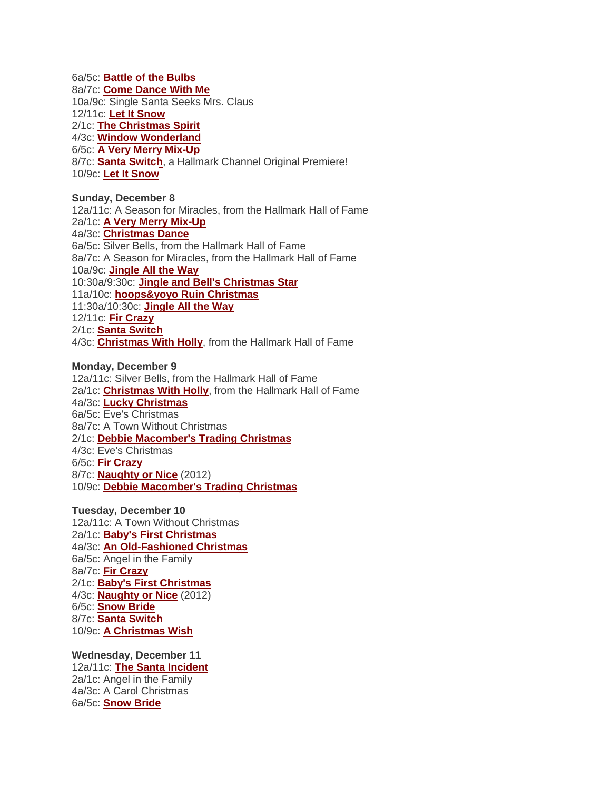6a/5c: **[Battle of the Bulbs](http://www.hallmarkchannel.com/battleofthebulbs/home)** 8a/7c: **[Come Dance With Me](http://www.hallmarkchannel.com/comedancewithme)** 10a/9c: Single Santa Seeks Mrs. Claus 12/11c: **[Let It Snow](http://www.hallmarkchannel.com/letitsnow)** 2/1c: **[The Christmas Spirit](http://www.hallmarkchannel.com/thechristmasspirit)** 4/3c: **[Window Wonderland](http://www.hallmarkchannel.com/windowwonderland)** 6/5c: **A [Very Merry Mix-Up](http://www.hallmarkchannel.com/averymerrymixup)** 8/7c: **[Santa Switch](http://www.hallmarkchannel.com/santaswitch)**, a Hallmark Channel Original Premiere! 10/9c: **[Let It Snow](http://www.hallmarkchannel.com/letitsnow)**

**Sunday, December 8** 12a/11c: A Season for Miracles, from the Hallmark Hall of Fame 2a/1c: **A [Very Merry Mix-Up](http://www.hallmarkchannel.com/averymerrymixup)** 4a/3c: **[Christmas Dance](http://www.hallmarkchannel.com/comedancewithme)** 6a/5c: Silver Bells, from the Hallmark Hall of Fame 8a/7c: A Season for Miracles, from the Hallmark Hall of Fame 10a/9c: **[Jingle All the Way](http://www.hallmarkchannel.com/jinglealltheway)** 10:30a/9:30c: **[Jingle and Bell's Christmas Star](http://www.hallmarkchannel.com/jingleandbellschristmasstar)** 11a/10c: **[hoops&yoyo Ruin Christmas](http://www.hallmarkchannel.com/hoopsandyoyoruinchristmas)** 11:30a/10:30c: **[Jingle All the Way](http://www.hallmarkchannel.com/jinglealltheway)** 12/11c: **[Fir Crazy](http://www.hallmarkchannel.com/fircrazy)** 2/1c: **[Santa Switch](http://www.hallmarkchannel.com/santaswitch)** 4/3c: **[Christmas With Holly](http://www.hallmarkchannel.com/christmaswithholly)**, from the Hallmark Hall of Fame

## **Monday, December 9** 12a/11c: Silver Bells, from the Hallmark Hall of Fame

2a/1c: **[Christmas With Holly](http://www.hallmarkchannel.com/christmaswithholly)**, from the Hallmark Hall of Fame 4a/3c: **[Lucky Christmas](http://www.hallmarkchannel.com/luckychristmas)** 6a/5c: Eve's Christmas 8a/7c: A Town Without Christmas 2/1c: **[Debbie Macomber's Trading Christmas](http://www.hallmarkchannel.com/debbiemacomberstradingchristmas)** 4/3c: Eve's Christmas 6/5c: **[Fir Crazy](http://www.hallmarkchannel.com/fircrazy)** 8/7c: **[Naughty or Nice](http://www.hallmarkchannel.com/naughtyornice)** (2012) 10/9c: **[Debbie Macomber's Trading Christmas](http://www.hallmarkchannel.com/debbiemacomberstradingchristmas)**

## **Tuesday, December 10**

12a/11c: A Town Without Christmas 2a/1c: **[Baby's First Christmas](http://www.hallmarkchannel.com/babysfirstchristmas)** 4a/3c: **[An Old-Fashioned Christmas](http://www.hallmarkchannel.com/anoldfashionedchristmas/home)** 6a/5c: Angel in the Family 8a/7c: **[Fir Crazy](http://www.hallmarkchannel.com/fircrazy)** 2/1c: **[Baby's First Christmas](http://www.hallmarkchannel.com/babysfirstchristmas)** 4/3c: **[Naughty or Nice](http://www.hallmarkchannel.com/naughtyornice)** (2012) 6/5c: **[Snow Bride](http://www.hallmarkchannel.com/snowbride)** 8/7c: **[Santa Switch](http://www.hallmarkchannel.com/santaswitch)** 10/9c: **[A Christmas Wish](http://www.hallmarkchannel.com/achristmaswish)**

**Wednesday, December 11** 12a/11c: **[The Santa Incident](http://www.hallmarkchannel.com/thesantaincident/home)** 2a/1c: Angel in the Family 4a/3c: A Carol Christmas 6a/5c: **[Snow Bride](http://www.hallmarkchannel.com/snowbride)**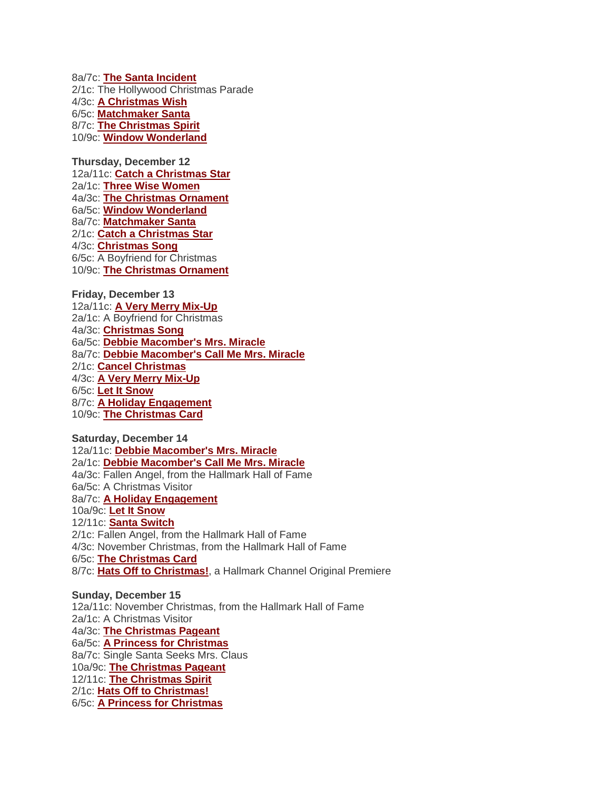8a/7c: **[The Santa Incident](http://www.hallmarkchannel.com/thesantaincident/home)** 2/1c: The Hollywood Christmas Parade 4/3c: **[A Christmas Wish](http://www.hallmarkchannel.com/achristmaswish)** 6/5c: **[Matchmaker Santa](http://www.hallmarkchannel.com/matchmakersanta)** 8/7c: **[The Christmas Spirit](http://www.hallmarkchannel.com/thechristmasspirit)** 10/9c: **[Window Wonderland](http://www.hallmarkchannel.com/windowwonderland)**

**Thursday, December 12** 12a/11c: **[Catch a Christmas Star](http://www.hallmarkchannel.com/catchachristmasstar)** 2a/1c: **[Three Wise Women](http://www.hallmarkchannel.com/threewisewomen/home)** 4a/3c: **[The Christmas Ornament](http://www.hallmarkchannel.com/thechristmasornament)** 6a/5c: **[Window Wonderland](http://www.hallmarkchannel.com/windowwonderland)** 8a/7c: **[Matchmaker Santa](http://www.hallmarkchannel.com/matchmakersanta)** 2/1c: **[Catch a Christmas Star](http://www.hallmarkchannel.com/catchachristmasstar)** 4/3c: **[Christmas Song](http://www.hallmarkchannel.com/christmassong)** 6/5c: A Boyfriend for Christmas 10/9c: **[The Christmas Ornament](http://www.hallmarkchannel.com/thechristmasornament)**

**Friday, December 13** 12a/11c: **[A Very Merry Mix-Up](http://www.hallmarkchannel.com/averymerrymixup)** 2a/1c: A Boyfriend for Christmas 4a/3c: **[Christmas Song](http://www.hallmarkchannel.com/christmassong)** 6a/5c: **[Debbie Macomber's Mrs. Miracle](http://www.hallmarkchannel.com/Programm/Default_Microsite.aspx?Simscode=419-26619&ID=0)** 8a/7c: **[Debbie Macomber's Call Me Mrs. Miracle](http://www.hallmarkchannel.com/debbiemacomberscallmemrsmiracle/home)** 2/1c: **[Cancel Christmas](http://www.hallmarkchannel.com/cancelchristmas)** 4/3c: **[A Very Merry Mix-Up](http://www.hallmarkchannel.com/averymerrymixup)** 6/5c: **[Let It Snow](http://www.hallmarkchannel.com/letitsnow)** 8/7c: **[A Holiday Engagement](http://www.hallmarkchannel.com/holidayengagement)** 10/9c: **[The Christmas Card](http://www.hallmarkchannel.com/thechristmascard)**

## **Saturday, December 14**

12a/11c: **[Debbie Macomber's Mrs. Miracle](http://www.hallmarkchannel.com/Programm/Default_Microsite.aspx?Simscode=419-26619&ID=0)** 2a/1c: **[Debbie Macomber's Call Me Mrs. Miracle](http://www.hallmarkchannel.com/debbiemacomberscallmemrsmiracle/home)** 4a/3c: Fallen Angel, from the Hallmark Hall of Fame 6a/5c: A Christmas Visitor 8a/7c: **[A Holiday Engagement](http://www.hallmarkchannel.com/holidayengagement)** 10a/9c: **[Let It Snow](http://www.hallmarkchannel.com/letitsnow)** 12/11c: **[Santa Switch](http://www.hallmarkchannel.com/santaswitch)** 2/1c: Fallen Angel, from the Hallmark Hall of Fame 4/3c: November Christmas, from the Hallmark Hall of Fame 6/5c: **[The Christmas Card](http://www.hallmarkchannel.com/thechristmascard)** 8/7c: **[Hats Off to Christmas!](http://www.hallmarkchannel.com/hatsofftochristmas)**, a Hallmark Channel Original Premiere

**Sunday, December 15** 12a/11c: November Christmas, from the Hallmark Hall of Fame 2a/1c: A Christmas Visitor 4a/3c: **[The Christmas Pageant](http://www.hallmarkchannel.com/thechristmaspageant)** 6a/5c: **[A Princess for Christmas](http://www.hallmarkchannel.com/aprincessforchristmas)** 8a/7c: Single Santa Seeks Mrs. Claus 10a/9c: **[The Christmas Pageant](http://www.hallmarkchannel.com/thechristmaspageant)** 12/11c: **[The Christmas Spirit](http://www.hallmarkchannel.com/thechristmasspirit)** 2/1c: **[Hats Off to Christmas!](http://www.hallmarkchannel.com/hatsofftochristmas)** 6/5c: **[A Princess for Christmas](http://www.hallmarkchannel.com/aprincessforchristmas)**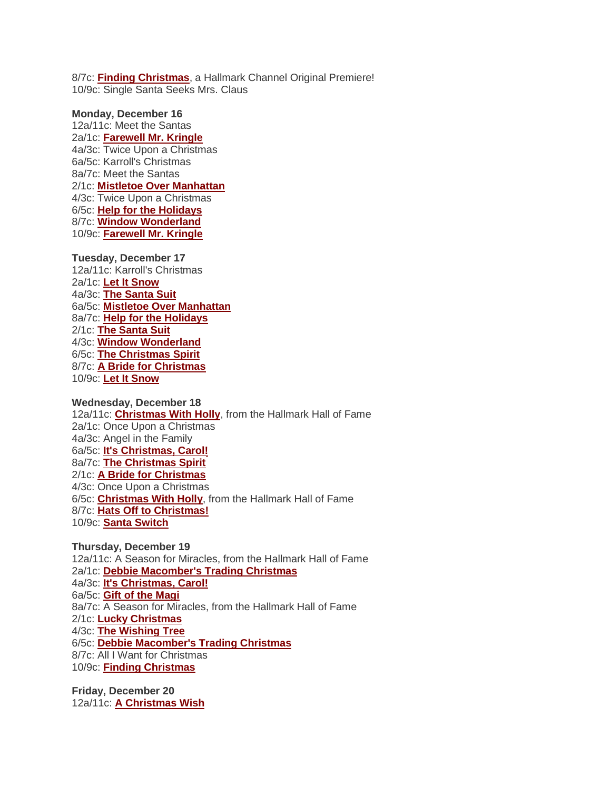8/7c: **[Finding Christmas](http://www.hallmarkchannel.com/findingchristmas)**, a Hallmark Channel Original Premiere! 10/9c: Single Santa Seeks Mrs. Claus

**Monday, December 16** 12a/11c: Meet the Santas 2a/1c: **[Farewell Mr. Kringle](http://www.hallmarkchannel.com/farewellmrkringle/home)** 4a/3c: Twice Upon a Christmas 6a/5c: Karroll's Christmas 8a/7c: Meet the Santas 2/1c: **[Mistletoe Over Manhattan](http://www.hallmarkchannel.com/mistletoeovermanhattan)** 4/3c: Twice Upon a Christmas 6/5c: **[Help for the Holidays](http://www.hallmarkchannel.com/helpfortheholidays)** 8/7c: **[Window Wonderland](http://www.hallmarkchannel.com/windowwonderland)** 10/9c: **[Farewell Mr. Kringle](http://www.hallmarkchannel.com/farewellmrkringle/home)**

**Tuesday, December 17** 12a/11c: Karroll's Christmas 2a/1c: **[Let It Snow](http://www.hallmarkchannel.com/letitsnow)** 4a/3c: **[The Santa Suit](http://www.hallmarkchannel.com/thesantasuit/home)** 6a/5c: **[Mistletoe Over Manhattan](http://www.hallmarkchannel.com/mistletoeovermanhattan)** 8a/7c: **[Help for the Holidays](http://www.hallmarkchannel.com/helpfortheholidays)** 2/1c: **[The Santa Suit](http://www.hallmarkchannel.com/thesantasuit/home)** 4/3c: **[Window Wonderland](http://www.hallmarkchannel.com/windowwonderland)** 6/5c: **[The Christmas Spirit](http://www.hallmarkchannel.com/thechristmasspirit)** 8/7c: **[A Bride for Christmas](http://www.hallmarkchannel.com/abrideforchristmas)** 10/9c: **[Let It Snow](http://www.hallmarkchannel.com/letitsnow)**

**Wednesday, December 18** 12a/11c: **[Christmas With Holly](http://www.hallmarkchannel.com/christmaswithholly)**, from the Hallmark Hall of Fame 2a/1c: Once Upon a Christmas 4a/3c: Angel in the Family 6a/5c: **[It's Christmas, Carol!](http://www.hallmarkchannel.com/itschristmascarol)** 8a/7c: **[The Christmas Spirit](http://www.hallmarkchannel.com/thechristmasspirit)** 2/1c: **[A Bride for Christmas](http://www.hallmarkchannel.com/abrideforchristmas)** 4/3c: Once Upon a Christmas 6/5c: **[Christmas With Holly](http://www.hallmarkchannel.com/christmaswithholly)**, from the Hallmark Hall of Fame 8/7c: **[Hats Off to Christmas!](http://www.hallmarkchannel.com/hatsofftochristmas)** 10/9c: **[Santa Switch](http://www.hallmarkchannel.com/santaswitch)**

**Thursday, December 19** 12a/11c: A Season for Miracles, from the Hallmark Hall of Fame 2a/1c: **[Debbie Macomber's Trading Christmas](http://www.hallmarkchannel.com/debbiemacomberstradingchristmas)** 4a/3c: **[It's Christmas, Carol!](http://www.hallmarkchannel.com/itschristmascarol)** 6a/5c: **[Gift of the Magi](http://www.hallmarkchannel.com/giftofthemagi/home)** 8a/7c: A Season for Miracles, from the Hallmark Hall of Fame 2/1c: **[Lucky Christmas](http://www.hallmarkchannel.com/luckychristmas)** 4/3c: **[The Wishing Tree](http://www.hallmarkchannel.com/thewishingtree)** 6/5c: **[Debbie Macomber's Trading Christmas](http://www.hallmarkchannel.com/debbiemacomberstradingchristmas)** 8/7c: All I Want for Christmas 10/9c: **[Finding Christmas](http://www.hallmarkchannel.com/findingchristmas)**

**Friday, December 20** 12a/11c: **[A Christmas Wish](http://www.hallmarkchannel.com/achristmaswish)**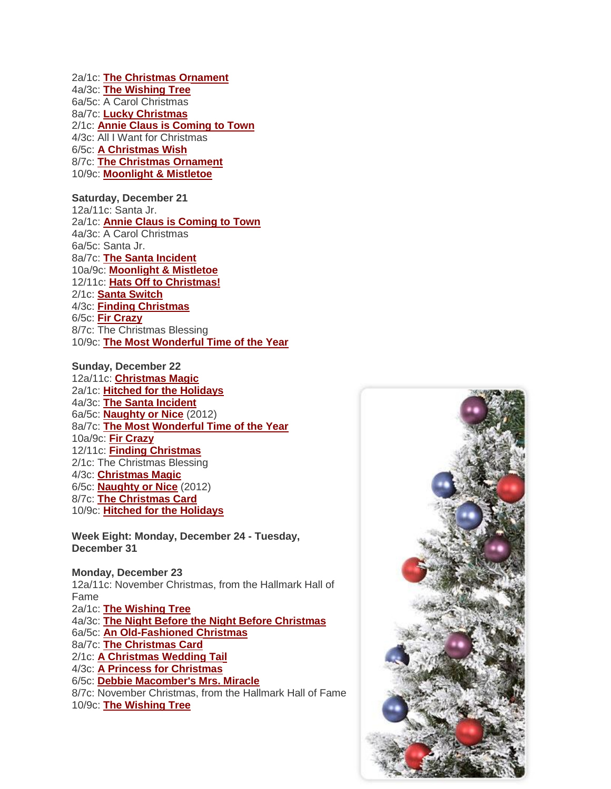2a/1c: **[The Christmas Ornament](http://www.hallmarkchannel.com/thechristmasornament)** 4a/3c: **[The Wishing Tree](http://www.hallmarkchannel.com/thewishingtree)** 6a/5c: A Carol Christmas 8a/7c: **[Lucky Christmas](http://www.hallmarkchannel.com/luckychristmas)** 2/1c: **[Annie Claus is Coming to Town](http://www.hallmarkchannel.com/annieclausiscomingtotown)** 4/3c: All I Want for Christmas 6/5c: **[A Christmas Wish](http://www.hallmarkchannel.com/achristmaswish)** 8/7c: **[The Christmas Ornament](http://www.hallmarkchannel.com/thechristmasornament)** 10/9c: **[Moonlight & Mistletoe](http://www.hallmarkchannel.com/Programm/Default_Microsite.aspx?Simscode=419-25588&ID=0)**

**Saturday, December 21** 12a/11c: Santa Jr. 2a/1c: **[Annie Claus is Coming to Town](http://www.hallmarkchannel.com/annieclausiscomingtotown)** 4a/3c: A Carol Christmas 6a/5c: Santa Jr. 8a/7c: **[The Santa Incident](http://www.hallmarkchannel.com/thesantaincident/home)** 10a/9c: **[Moonlight & Mistletoe](http://www.hallmarkchannel.com/Programm/Default_Microsite.aspx?Simscode=419-25588&ID=0)** 12/11c: **[Hats Off to Christmas!](http://www.hallmarkchannel.com/hatsofftochristmas)** 2/1c: **[Santa Switch](http://www.hallmarkchannel.com/santaswitch)** 4/3c: **[Finding Christmas](http://www.hallmarkchannel.com/findingchristmas)** 6/5c: **[Fir Crazy](http://www.hallmarkchannel.com/fircrazy)** 8/7c: The Christmas Blessing 10/9c: **[The Most Wonderful Time of the Year](http://www.hallmarkchannel.com/Programm/Default_Microsite.aspx?Simscode=419-26463&ID=0)**

**Sunday, December 22** 12a/11c: **[Christmas Magic](http://www.hallmarkchannel.com/christmasmagic)** 2a/1c: **[Hitched for the Holidays](http://www.hallmarkchannel.com/hitchedfortheholidays)** 4a/3c: **[The Santa Incident](http://www.hallmarkchannel.com/thesantaincident/home)** 6a/5c: **[Naughty or Nice](http://www.hallmarkchannel.com/naughtyornice)** (2012) 8a/7c: **[The Most Wonderful Time of the Year](http://www.hallmarkchannel.com/Programm/Default_Microsite.aspx?Simscode=419-26463&ID=0)** 10a/9c: **[Fir Crazy](http://www.hallmarkchannel.com/fircrazy)** 12/11c: **[Finding Christmas](http://www.hallmarkchannel.com/findingchristmas)** 2/1c: The Christmas Blessing 4/3c: **[Christmas Magic](http://www.hallmarkchannel.com/christmasmagic)** 6/5c: **[Naughty or Nice](http://www.hallmarkchannel.com/naughtyornice)** (2012) 8/7c: **[The Christmas Card](http://www.hallmarkchannel.com/Programm/Default_Microsite.aspx?Simscode=419-23524&ID=0)** 10/9c: **[Hitched for the Holidays](http://www.hallmarkchannel.com/hitchedfortheholidays)**

**Week Eight: Monday, December 24 - Tuesday, December 31**

**Monday, December 23** 12a/11c: November Christmas, from the Hallmark Hall of Fame 2a/1c: **[The Wishing Tree](http://www.hallmarkchannel.com/thewishingtree)** 4a/3c: **[The Night Before the Night Before Christmas](http://www.hallmarkchannel.com/thenightbeforethenightbeforechristmas/home)** 6a/5c: **[An Old-Fashioned Christmas](http://www.hallmarkchannel.com/anoldfashionedchristmas/home)** 8a/7c: **[The Christmas Card](http://www.hallmarkchannel.com/thechristmascard)** 2/1c: **[A Christmas Wedding Tail](http://www.hallmarkchannel.com/achristmasweddingtail)** 4/3c: **[A Princess for Christmas](http://www.hallmarkchannel.com/aprincessforchristmas)** 6/5c: **[Debbie Macomber's Mrs. Miracle](http://www.hallmarkchannel.com/Programm/Default_Microsite.aspx?Simscode=419-26619&ID=0)** 8/7c: November Christmas, from the Hallmark Hall of Fame 10/9c: **[The Wishing Tree](http://www.hallmarkchannel.com/thewishingtree)**

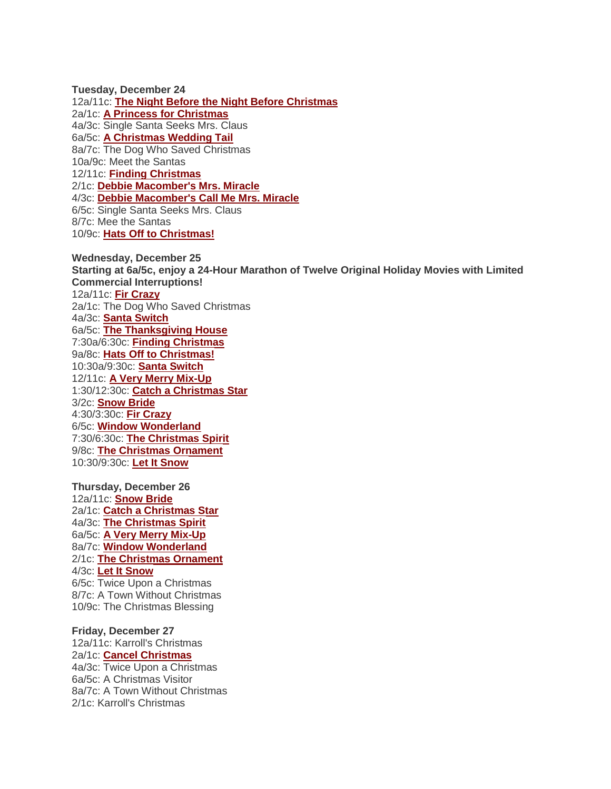**Tuesday, December 24** 12a/11c: **[The Night Before the Night Before Christmas](http://www.hallmarkchannel.com/thenightbeforethenightbeforechristmas/home)** 2a/1c: **[A Princess for Christmas](http://www.hallmarkchannel.com/aprincessforchristmas)** 4a/3c: Single Santa Seeks Mrs. Claus 6a/5c: **[A Christmas Wedding Tail](http://www.hallmarkchannel.com/achristmasweddingtail)** 8a/7c: The Dog Who Saved Christmas 10a/9c: Meet the Santas 12/11c: **[Finding Christmas](http://www.hallmarkchannel.com/findingchristmas)** 2/1c: **[Debbie Macomber's Mrs. Miracle](http://www.hallmarkchannel.com/Programm/Default_Microsite.aspx?Simscode=419-26619&ID=0)** 4/3c: **[Debbie Macomber's Call Me Mrs. Miracle](http://www.hallmarkchannel.com/debbiemacomberscallmemrsmiracle/home)** 6/5c: Single Santa Seeks Mrs. Claus 8/7c: Mee the Santas 10/9c: **[Hats Off to Christmas!](http://www.hallmarkchannel.com/hatsofftochristmas)**

**Wednesday, December 25 Starting at 6a/5c, enjoy a 24-Hour Marathon of Twelve Original Holiday Movies with Limited Commercial Interruptions!** 12a/11c: **[Fir Crazy](http://www.hallmarkchannel.com/fircrazy)** 2a/1c: The Dog Who Saved Christmas 4a/3c: **[Santa Switch](http://www.hallmarkchannel.com/santaswitch)** 6a/5c: **[The Thanksgiving House](http://www.hallmarkchannel.com/thethanksgivinghouse)** 7:30a/6:30c: **[Finding Christmas](http://www.hallmarkchannel.com/findingchristmas)** 9a/8c: **[Hats Off to Christmas!](http://www.hallmarkchannel.com/hatsofftochristmas)** 10:30a/9:30c: **[Santa Switch](http://www.hallmarkchannel.com/santaswitch)** 12/11c: **[A Very Merry Mix-Up](http://www.hallmarkchannel.com/averymerrymixup)** 1:30/12:30c: **[Catch a Christmas Star](http://www.hallmarkchannel.com/catchachristmasstar)** 3/2c: **[Snow Bride](http://www.hallmarkchannel.com/snowbride)** 4:30/3:30c: **[Fir Crazy](http://www.hallmarkchannel.com/fircrazy)** 6/5c: **[Window Wonderland](http://www.hallmarkchannel.com/windowwonderland)** 7:30/6:30c: **[The Christmas Spirit](http://www.hallmarkchannel.com/thechristmasspirit)** 9/8c: **[The Christmas Ornament](http://www.hallmarkchannel.com/thechristmasornament)** 10:30/9:30c: **[Let It Snow](http://www.hallmarkchannel.com/letitsnow)**

**Thursday, December 26** 12a/11c: **[Snow Bride](http://www.hallmarkchannel.com/snowbride)** 2a/1c: **[Catch a Christmas Star](http://www.hallmarkchannel.com/catchachristmasstar)** 4a/3c: **[The Christmas Spirit](http://www.hallmarkchannel.com/thechristmasspirit)** 6a/5c: **[A Very Merry Mix-Up](http://www.hallmarkchannel.com/averymerrymixup)** 8a/7c: **[Window Wonderland](http://www.hallmarkchannel.com/windowwonderland)** 2/1c: **[The Christmas Ornament](http://www.hallmarkchannel.com/thechristmasornament)** 4/3c: **[Let It Snow](http://www.hallmarkchannel.com/letitsnow)** 6/5c: Twice Upon a Christmas 8/7c: A Town Without Christmas 10/9c: The Christmas Blessing

**Friday, December 27** 12a/11c: Karroll's Christmas 2a/1c: **[Cancel Christmas](http://www.hallmarkchannel.com/cancelchristmas)** 4a/3c: Twice Upon a Christmas 6a/5c: A Christmas Visitor 8a/7c: A Town Without Christmas 2/1c: Karroll's Christmas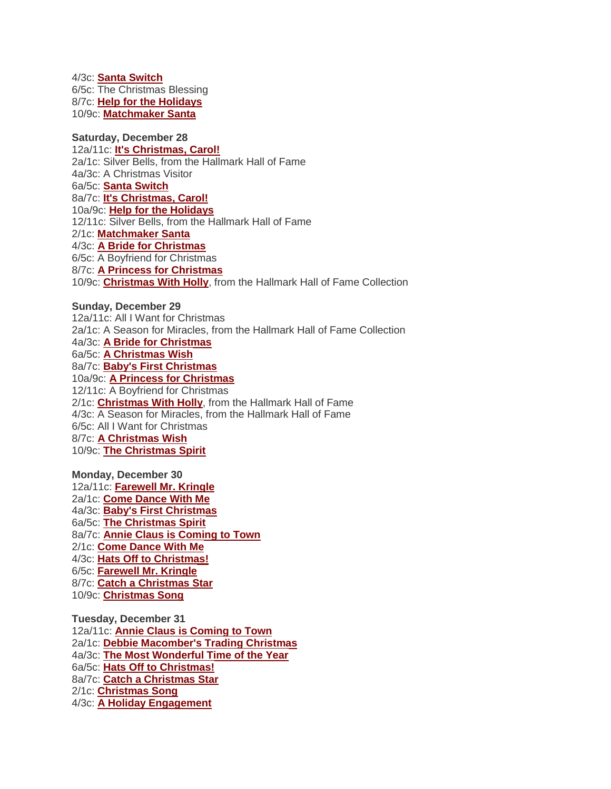4/3c: **[Santa Switch](http://www.hallmarkchannel.com/santaswitch)** 6/5c: The Christmas Blessing 8/7c: **[Help for the Holidays](http://www.hallmarkchannel.com/helpfortheholidays)** 10/9c: **[Matchmaker Santa](http://www.hallmarkchannel.com/matchmakersanta)**

# **Saturday, December 28**

12a/11c: **[It's Christmas, Carol!](http://www.hallmarkchannel.com/itschristmascarol)** 2a/1c: Silver Bells, from the Hallmark Hall of Fame 4a/3c: A Christmas Visitor 6a/5c: **[Santa Switch](http://www.hallmarkchannel.com/santaswitch)** 8a/7c: **[It's Christmas, Carol!](http://www.hallmarkchannel.com/itschristmascarol)** 10a/9c: **[Help for the Holidays](http://www.hallmarkchannel.com/helpfortheholidays)** 12/11c: Silver Bells, from the Hallmark Hall of Fame 2/1c: **[Matchmaker Santa](http://www.hallmarkchannel.com/matchmakersanta)** 4/3c: **[A Bride for Christmas](http://www.hallmarkchannel.com/abrideforchristmas)** 6/5c: A Boyfriend for Christmas 8/7c: **[A Princess for Christmas](http://www.hallmarkchannel.com/aprincessforchristmas)** 10/9c: **[Christmas With Holly](http://www.hallmarkchannel.com/christmaswithholly)**, from the Hallmark Hall of Fame Collection

## **Sunday, December 29**

12a/11c: All I Want for Christmas 2a/1c: A Season for Miracles, from the Hallmark Hall of Fame Collection 4a/3c: **[A Bride for Christmas](http://www.hallmarkchannel.com/abrideforchristmas)** 6a/5c: **[A Christmas Wish](http://www.hallmarkchannel.com/achristmaswish)** 8a/7c: **[Baby's First Christmas](http://www.hallmarkchannel.com/babysfirstchristmas)** 10a/9c: **[A Princess for Christmas](http://www.hallmarkchannel.com/aprincessforchristmas)** 12/11c: A Boyfriend for Christmas 2/1c: **[Christmas With Holly](http://www.hallmarkchannel.com/christmaswithholly)**, from the Hallmark Hall of Fame 4/3c: A Season for Miracles, from the Hallmark Hall of Fame 6/5c: All I Want for Christmas 8/7c: **[A Christmas Wish](http://www.hallmarkchannel.com/achristmaswish)** 10/9c: **[The Christmas Spirit](http://www.hallmarkchannel.com/thechristmasspirit)**

**Monday, December 30** 12a/11c: **[Farewell Mr. Kringle](http://www.hallmarkchannel.com/farewellmrkringle/home)** 2a/1c: **[Come Dance With Me](http://www.hallmarkchannel.com/comedancewithme)** 4a/3c: **[Baby's First Christmas](http://www.hallmarkchannel.com/babysfirstchristmas)** 6a/5c: **[The Christmas Spirit](http://www.hallmarkchannel.com/thechristmasspirit)** 8a/7c: **[Annie Claus is Coming to Town](http://www.hallmarkchannel.com/annieclausiscomingtotown)** 2/1c: **[Come Dance With Me](http://www.hallmarkchannel.com/comedancewithme)** 4/3c: **[Hats Off to Christmas!](http://www.hallmarkchannel.com/hatsofftochristmas)** 6/5c: **[Farewell Mr. Kringle](http://www.hallmarkchannel.com/farewellmrkringle/home)** 8/7c: **[Catch a Christmas Star](http://www.hallmarkchannel.com/catchachristmasstar)** 10/9c: **[Christmas Song](http://www.hallmarkchannel.com/christmassong)**

**Tuesday, December 31** 12a/11c: **[Annie Claus is Coming to Town](http://www.hallmarkchannel.com/annieclausiscomingtotown)** 2a/1c: **[Debbie Macomber's Trading Christmas](http://www.hallmarkchannel.com/debbiemacomberstradingchristmas)** 4a/3c: **[The Most Wonderful Time of the Year](http://www.hallmarkchannel.com/Programm/Default_Microsite.aspx?Simscode=419-26463&ID=0)** 6a/5c: **[Hats Off to Christmas!](http://www.hallmarkchannel.com/hatsofftochristmas)** 8a/7c: **[Catch a Christmas Star](http://www.hallmarkchannel.com/catchachristmasstar)** 2/1c: **[Christmas Song](http://www.hallmarkchannel.com/christmassong)** 4/3c: **[A Holiday Engagement](http://www.hallmarkchannel.com/holidayengagement)**